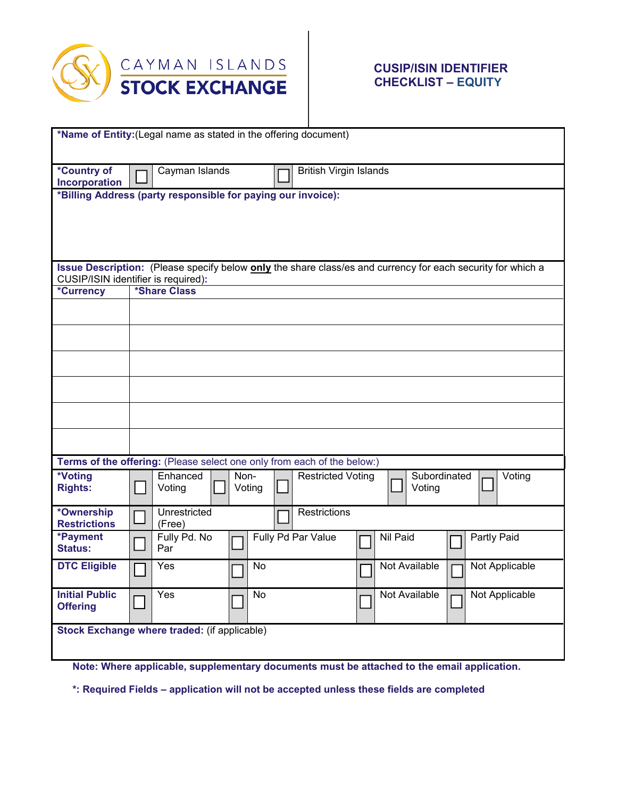

## **CUSIP/ISIN IDENTIFIER CHECKLIST – EQUITY**

| *Name of Entity: (Legal name as stated in the offering document)                                                                                   |                                                                                                      |  |
|----------------------------------------------------------------------------------------------------------------------------------------------------|------------------------------------------------------------------------------------------------------|--|
|                                                                                                                                                    |                                                                                                      |  |
| *Country of                                                                                                                                        | Cayman Islands<br><b>British Virgin Islands</b>                                                      |  |
| Incorporation                                                                                                                                      |                                                                                                      |  |
| *Billing Address (party responsible for paying our invoice):                                                                                       |                                                                                                      |  |
|                                                                                                                                                    |                                                                                                      |  |
|                                                                                                                                                    |                                                                                                      |  |
|                                                                                                                                                    |                                                                                                      |  |
|                                                                                                                                                    |                                                                                                      |  |
| Issue Description: (Please specify below only the share class/es and currency for each security for which a<br>CUSIP/ISIN identifier is required): |                                                                                                      |  |
| *Currency                                                                                                                                          | *Share Class                                                                                         |  |
|                                                                                                                                                    |                                                                                                      |  |
|                                                                                                                                                    |                                                                                                      |  |
|                                                                                                                                                    |                                                                                                      |  |
|                                                                                                                                                    |                                                                                                      |  |
|                                                                                                                                                    |                                                                                                      |  |
|                                                                                                                                                    |                                                                                                      |  |
|                                                                                                                                                    |                                                                                                      |  |
|                                                                                                                                                    |                                                                                                      |  |
|                                                                                                                                                    |                                                                                                      |  |
|                                                                                                                                                    | Terms of the offering: (Please select one only from each of the below:)                              |  |
| *Voting<br><b>Rights:</b>                                                                                                                          | Enhanced<br>Non-<br><b>Restricted Voting</b><br>Subordinated<br>Voting<br>Voting<br>Voting<br>Voting |  |
| *Ownership                                                                                                                                         | Unrestricted<br>Restrictions                                                                         |  |
| <b>Restrictions</b>                                                                                                                                | (Free)                                                                                               |  |
| *Payment<br><b>Status:</b>                                                                                                                         | Fully Pd. No<br>Fully Pd Par Value<br>Nil Paid<br>Partly Paid<br>Par                                 |  |
| <b>DTC Eligible</b>                                                                                                                                | Yes<br>No<br>Not Available<br>Not Applicable<br>٦                                                    |  |
| <b>Initial Public</b>                                                                                                                              | Yes<br>Not Available<br>No<br>Not Applicable                                                         |  |
| <b>Offering</b>                                                                                                                                    |                                                                                                      |  |
|                                                                                                                                                    | Stock Exchange where traded: (if applicable)                                                         |  |
|                                                                                                                                                    |                                                                                                      |  |
| Note: Where applicable, supplementary documents must be attached to the email application.                                                         |                                                                                                      |  |

**\*: Required Fields – application will not be accepted unless these fields are completed**